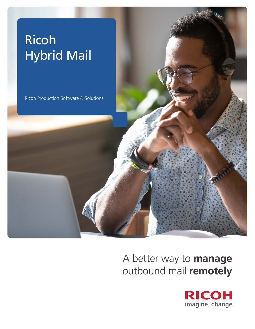# Ricoh Hybrid Mail

Ricoh Production Software & Solutions

A better way to **manage** outbound mail **remotely**

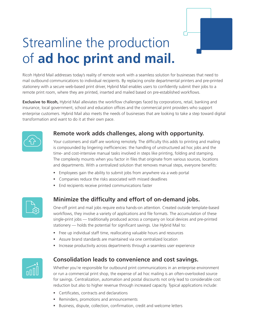

# Streamline the production of **ad hoc print and mail.**

Ricoh Hybrid Mail addresses today's reality of remote work with a seamless solution for businesses that need to mail outbound communications to individual recipients. By replacing onsite departmental printers and pre-printed stationery with a secure web-based print driver, Hybrid Mail enables users to confidently submit their jobs to a remote print room, where they are printed, inserted and mailed based on pre-established workflows.

**Exclusive to Ricoh,** Hybrid Mail alleviates the workflow challenges faced by corporations, retail, banking and insurance, local government, school and education offices and the commercial print providers who support enterprise customers. Hybrid Mail also meets the needs of businesses that are looking to take a step toward digital transformation and want to do it at their own pace.



#### **Remote work adds challenges, along with opportunity.**

Your customers and staff are working remotely. The difficulty this adds to printing and mailing is compounded by lingering inefficiencies: the handling of unstructured ad hoc jobs and the time- and cost-intensive manual tasks involved in steps like printing, folding and stamping. The complexity mounts when you factor in files that originate from various sources, locations and departments. With a centralized solution that removes manual steps, everyone benefits:

- Employees gain the ability to submit jobs from anywhere via a web portal
- Companies reduce the risks associated with missed deadlines
- End recipients receive printed communications faster



## **Minimize the difficulty and effort of on-demand jobs.**

One-off print and mail jobs require extra hands-on attention. Created outside template-based workflows, they involve a variety of applications and file formats. The accumulation of these single-print jobs — traditionally produced across a company on local devices and pre-printed stationery — holds the potential for significant savings. Use Hybrid Mail to:

- Free up individual staff time, reallocating valuable hours and resources
- Assure brand standards are maintained via one centralized location
- Increase productivity across departments through a seamless user experience



#### **Consolidation leads to convenience and cost savings.**

Whether you're responsible for outbound print communications in an enterprise environment or run a commercial print shop, the expense of ad hoc mailing is an often-overlooked source for savings. Centralization, automation and postal discounts not only lead to considerable cost reduction but also to higher revenue through increased capacity. Typical applications include:

- **EXEC** Certificates, contracts and declarations
- **Reminders, promotions and announcements**
- Business, dispute, collection, confirmation, credit and welcome letters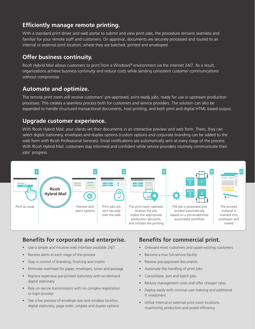#### **Efficiently manage remote printing.**

With a standard print driver and web portal to submit and view print jobs, the procedure remains seamless and familiar for your remote staff and customers. On approval, documents are securely processed and routed to an internal or external print location, where they are batched, printed and enveloped.

#### **Offer business continuity.**

Ricoh Hybrid Mail allows customers to print from a Windows® environment via the internet 24/7. As a result, organizations achieve business continuity and reduce costs while sending consistent customer communications without compromise.

#### **Automate and optimize.**

The remote print room will receive customers' pre-approved, print-ready jobs, ready for use in upstream production processes. This creates a seamless process both for customers and service providers. The solution can also be expanded to handle structured transactional documents, host printing, and both print and digital HTML based output.

#### **Upgrade customer experience.**

With Ricoh Hybrid Mail, your clients vet their documents in an interactive preview and web form. There, they can select digital stationery, envelopes and duplex options (custom options and corporate branding can be added to the web form with Ricoh Professional Services). Email notifications are automatically sent at every stage of the process. With Ricoh Hybrid Mail, customers stay informed and confident while service providers routinely communicate their jobs' progress.



## **Benefits for corporate and enterprise.**

- Use a simple and intuitive web interface available 24/7
- Receive alerts at each stage of the process
- Stay in control of branding, finishing and inserts
- Eliminate overhead for paper, envelopes, toner and postage
- Replace expensive pre-printed stationery with on-demand digital stationery
- Rely on secure transmissions with no complex registration or login process
- See a live preview of envelope size and window location, digital stationery, page order, simplex and duplex options

## **Benefits for commercial print.**

- Onboard more customers and upsell existing customers
- **Become a true full-service facility**
- Receive pre-approved documents
- Automate the handling of print jobs
- **Consolidate, sort and batch jobs**
- Reduce management costs and offer cheaper rates
- Deploy easily with minimal user training and additional IT investment
- **Utilize internal or external print room locations,** maximizing production and postal efficiency